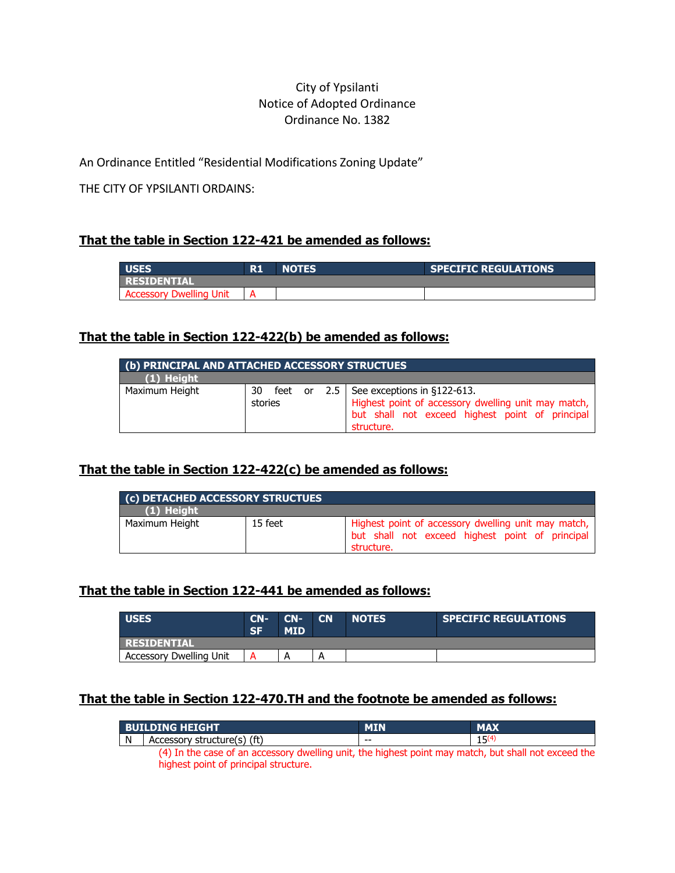## City of Ypsilanti Notice of Adopted Ordinance Ordinance No. 1382

An Ordinance Entitled "Residential Modifications Zoning Update"

THE CITY OF YPSILANTI ORDAINS:

## **That the table in Section 122-421 be amended as follows:**

| <b>LUSES</b>                   | D 1<br>к. | <b>NOTES</b> | <b>SPECIFIC REGULATIONS</b> |
|--------------------------------|-----------|--------------|-----------------------------|
| <b>  RESIDENTIAL</b>           |           |              |                             |
| <b>Accessory Dwelling Unit</b> |           |              |                             |

#### **That the table in Section 122-422(b) be amended as follows:**

| (b) PRINCIPAL AND ATTACHED ACCESSORY STRUCTUES |               |  |  |                                                                                                                                                                   |
|------------------------------------------------|---------------|--|--|-------------------------------------------------------------------------------------------------------------------------------------------------------------------|
| (1) Height                                     |               |  |  |                                                                                                                                                                   |
| Maximum Height                                 | 30<br>stories |  |  | feet or $2.5$ See exceptions in §122-613.<br>Highest point of accessory dwelling unit may match,<br>but shall not exceed highest point of principal<br>structure. |

# **That the table in Section 122-422(c) be amended as follows:**

| (c) DETACHED ACCESSORY STRUCTUES |         |                                                                                                                      |  |  |
|----------------------------------|---------|----------------------------------------------------------------------------------------------------------------------|--|--|
| $(1)$ Height                     |         |                                                                                                                      |  |  |
| Maximum Height                   | 15 feet | Highest point of accessory dwelling unit may match,<br>but shall not exceed highest point of principal<br>structure. |  |  |

### **That the table in Section 122-441 be amended as follows:**

| <b>USES</b>                    | $CN-$<br><b>SF</b> | $CN-$<br>MID | <b>CN</b> | <b>NOTES</b> | <b>SPECIFIC REGULATIONS</b> |
|--------------------------------|--------------------|--------------|-----------|--------------|-----------------------------|
| <b>TRESIDENTIAL</b>            |                    |              |           |              |                             |
| <b>Accessory Dwelling Unit</b> |                    | A            | А         |              |                             |

# **That the table in Section 122-470.TH and the footnote be amended as follows:**

|   | l BUILDING HEIGHT                                                                                  |    | <b>MAX</b> |
|---|----------------------------------------------------------------------------------------------------|----|------------|
| N | Accessory structure(s) (ft)                                                                        | -- |            |
|   | (4) In the case of an accessory dwelling unit the highest noint may match but shall not exceed the |    |            |

4) In the case of an accessory dwelling unit, the highest point may match, but shall not exceed the highest point of principal structure.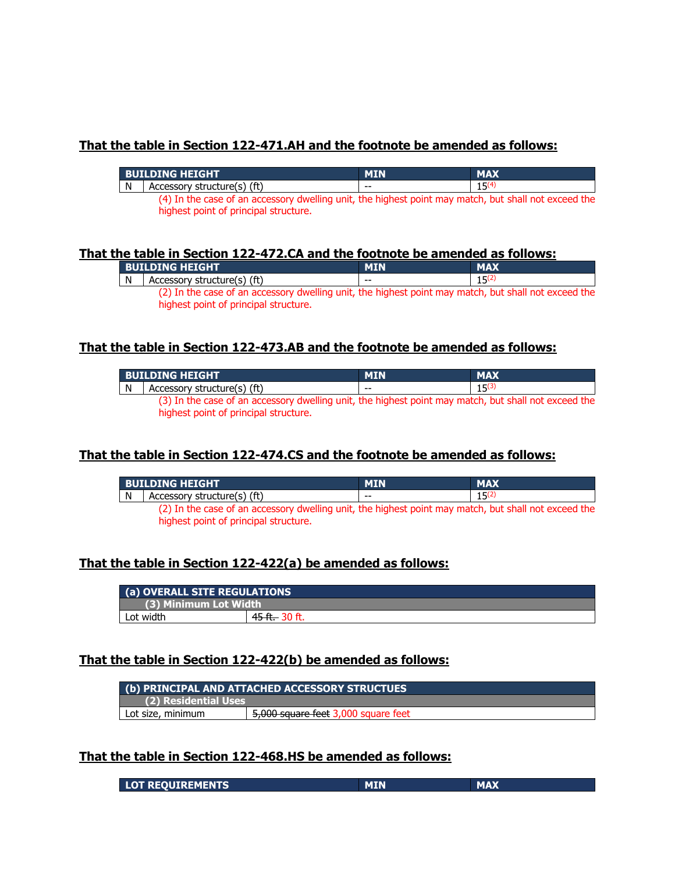### **That the table in Section 122-471.AH and the footnote be amended as follows:**

|    | l Building Height                                                                                    | <b>MIN</b> | <b>MAX</b> |  |  |
|----|------------------------------------------------------------------------------------------------------|------------|------------|--|--|
| N. | Accessory structure(s) (ft)                                                                          | $- -$      | $15^{(4)}$ |  |  |
|    | (4) In the case of an accessory dwelling unit, the highest point may match, but shall not exceed the |            |            |  |  |

highest point of principal structure.

#### **That the table in Section 122-472.CA and the footnote be amended as follows:**

| <b>BUILDING HEIGHT</b>                                                                                                                        | <b>MIN</b> | <b>MAX</b> |
|-----------------------------------------------------------------------------------------------------------------------------------------------|------------|------------|
| Accessory structure(s) (ft)                                                                                                                   | --         | 15(2)      |
| (2) In the case of an accessory dwelling unit, the highest point may match, but shall not exceed the<br>highest point of principal structure. |            |            |

#### **That the table in Section 122-473.AB and the footnote be amended as follows:**

|   | <b>BUILDING HEIGHT</b>                                                                               | <b>MIN</b> | <b>MAX</b> |
|---|------------------------------------------------------------------------------------------------------|------------|------------|
| N | Accessory structure(s) (ft)                                                                          | $- -$      | 1(3)       |
|   | (3) In the case of an accessory dwelling unit, the highest point may match, but shall not exceed the |            |            |

highest point of principal structure.

### **That the table in Section 122-474.CS and the footnote be amended as follows:**

|              | <b>BUILDING HEIGHT.</b>                                                                              | <b>MIN</b> | <b>MAX</b>  |
|--------------|------------------------------------------------------------------------------------------------------|------------|-------------|
| $\mathsf{N}$ | Accessory structure(s) (ft)                                                                          | $- -$      | $1\sqrt{2}$ |
|              | (2) In the case of an accessory dwelling unit, the highest point may match, but shall not exceed the |            |             |

highest point of principal structure.

# **That the table in Section 122-422(a) be amended as follows:**

| (a) OVERALL SITE REGULATIONS |                           |  |
|------------------------------|---------------------------|--|
| (3) Minimum Lot Width        |                           |  |
| Lot width                    | <del>45 ft. 3</del> 0 ft. |  |

### **That the table in Section 122-422(b) be amended as follows:**

| (b) PRINCIPAL AND ATTACHED ACCESSORY STRUCTUES |                                     |  |
|------------------------------------------------|-------------------------------------|--|
| (2) Residential Uses                           |                                     |  |
| Lot size, minimum                              | 5,000 square feet 3,000 square feet |  |

#### **That the table in Section 122-468.HS be amended as follows:**

| <b>LOT REQUIREMENTS</b> |  |  |
|-------------------------|--|--|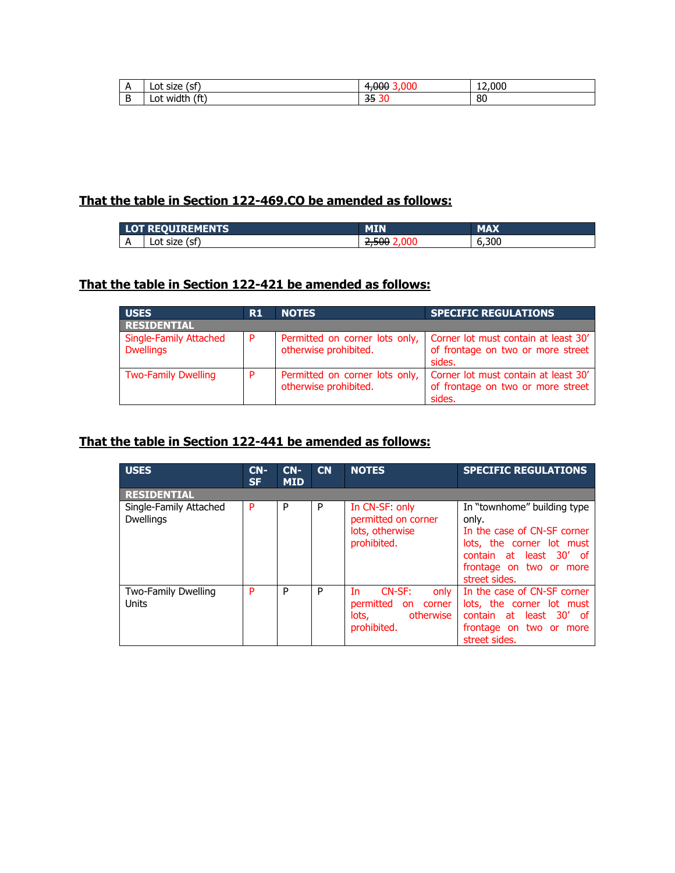| n<br>$\cdots$ | -<br>~<br>Lot<br>ы<br>סגופ           | ' 11 11 | 12,000 |
|---------------|--------------------------------------|---------|--------|
| ້             | (ft`<br>.<br>Ω1<br><b>WIC</b><br>$-$ | --<br>ᡂ | 80     |

# **That the table in Section 122-469.CO be amended as follows:**

| ----                     | <b>IREMENTS</b>        | MIN | MAN                  |
|--------------------------|------------------------|-----|----------------------|
| $\overline{\phantom{a}}$ | ′~∗<br>Lot size<br>וכו | --- | $\sim$<br>6.30U<br>n |

## **That the table in Section 122-421 be amended as follows:**

| <b>USES</b>                                       | R1  | <b>NOTES</b>                                            | <b>SPECIFIC REGULATIONS</b>                                                         |  |  |  |  |
|---------------------------------------------------|-----|---------------------------------------------------------|-------------------------------------------------------------------------------------|--|--|--|--|
| <b>RESIDENTIAL</b>                                |     |                                                         |                                                                                     |  |  |  |  |
| <b>Single-Family Attached</b><br><b>Dwellings</b> | l P | Permitted on corner lots only,<br>otherwise prohibited. | Corner lot must contain at least 30'<br>of frontage on two or more street<br>sides. |  |  |  |  |
| <b>Two-Family Dwelling</b>                        | D   | Permitted on corner lots only,<br>otherwise prohibited. | Corner lot must contain at least 30'<br>of frontage on two or more street<br>sides. |  |  |  |  |

## **That the table in Section 122-441 be amended as follows:**

| <b>USES</b>                                | $CN-$<br><b>SF</b> | $CN-$<br><b>MID</b> | CN | <b>NOTES</b>                                                                                   | <b>SPECIFIC REGULATIONS</b>                                                                                                                                             |  |  |
|--------------------------------------------|--------------------|---------------------|----|------------------------------------------------------------------------------------------------|-------------------------------------------------------------------------------------------------------------------------------------------------------------------------|--|--|
| <b>RESIDENTIAL</b>                         |                    |                     |    |                                                                                                |                                                                                                                                                                         |  |  |
| Single-Family Attached<br><b>Dwellings</b> | P                  | P                   | P  | In CN-SF: only<br>permitted on corner<br>lots, otherwise<br>prohibited.                        | In "townhome" building type<br>only.<br>In the case of CN-SF corner<br>lots, the corner lot must<br>contain at least 30' of<br>frontage on two or more<br>street sides. |  |  |
| Two-Family Dwelling<br><b>Units</b>        | P                  | P                   | P  | CN-SF:<br>only<br>Tn.<br>permitted<br>corner<br><b>on</b><br>otherwise<br>lots.<br>prohibited. | In the case of CN-SF corner<br>lots, the corner lot must<br>contain at least 30' of<br>frontage on two or more<br>street sides.                                         |  |  |